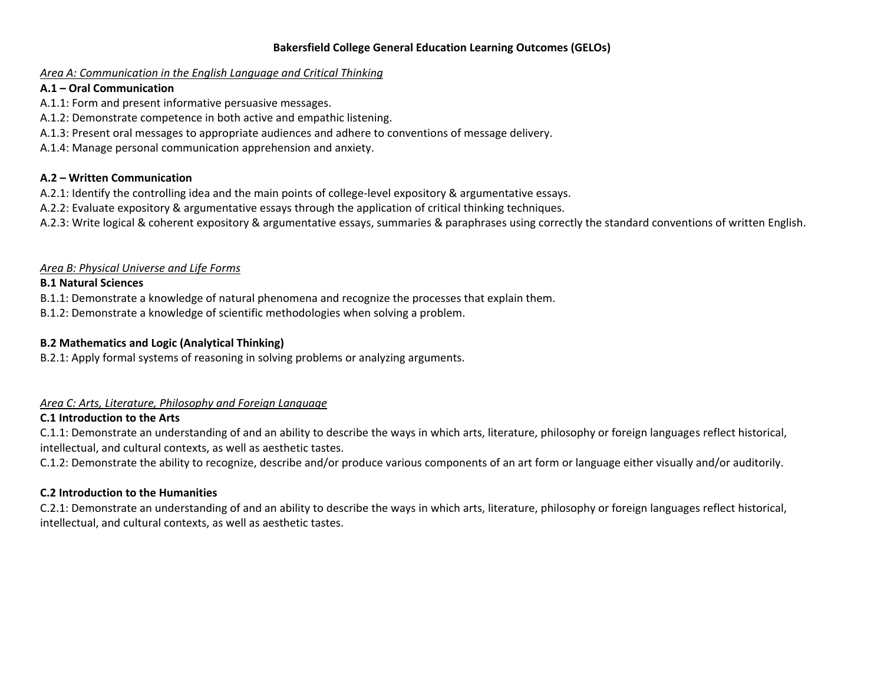#### **Bakersfield College General Education Learning Outcomes (GELOs)**

#### *Area A: Communication in the English Language and Critical Thinking*

### **A.1 – Oral Communication**

- A.1.1: Form and present informative persuasive messages.
- A.1.2: Demonstrate competence in both active and empathic listening.
- A.1.3: Present oral messages to appropriate audiences and adhere to conventions of message delivery.
- A.1.4: Manage personal communication apprehension and anxiety.

# **A.2 – Written Communication**

- A.2.1: Identify the controlling idea and the main points of college-level expository & argumentative essays.
- A.2.2: Evaluate expository & argumentative essays through the application of critical thinking techniques.
- A.2.3: Write logical & coherent expository & argumentative essays, summaries & paraphrases using correctly the standard conventions of written English.

### *Area B: Physical Universe and Life Forms*

### **B.1 Natural Sciences**

- B.1.1: Demonstrate a knowledge of natural phenomena and recognize the processes that explain them.
- B.1.2: Demonstrate a knowledge of scientific methodologies when solving a problem.

# **B.2 Mathematics and Logic (Analytical Thinking)**

B.2.1: Apply formal systems of reasoning in solving problems or analyzing arguments.

# *Area C: Arts, Literature, Philosophy and Foreign Language*

# **C.1 Introduction to the Arts**

C.1.1: Demonstrate an understanding of and an ability to describe the ways in which arts, literature, philosophy or foreign languages reflect historical, intellectual, and cultural contexts, as well as aesthetic tastes.

C.1.2: Demonstrate the ability to recognize, describe and/or produce various components of an art form or language either visually and/or auditorily.

# **C.2 Introduction to the Humanities**

C.2.1: Demonstrate an understanding of and an ability to describe the ways in which arts, literature, philosophy or foreign languages reflect historical, intellectual, and cultural contexts, as well as aesthetic tastes.